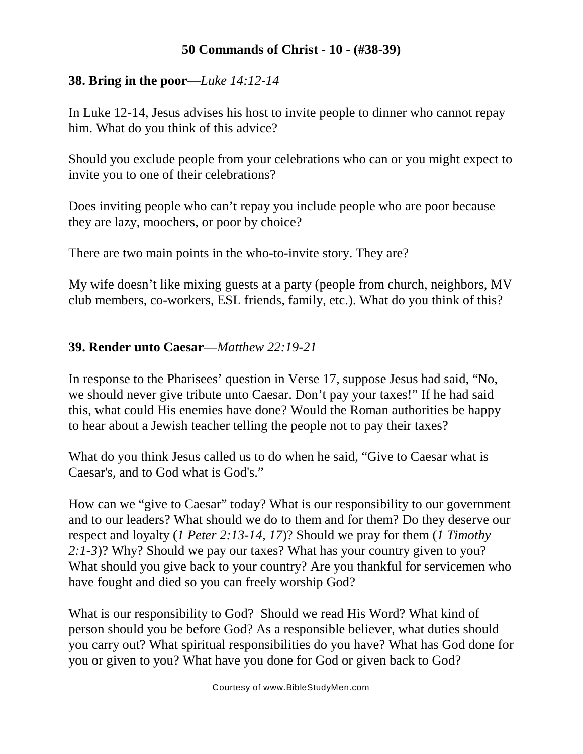## **50 Commands of Christ - 10 - (#38-39)**

# **38. Bring in the poor**—*Luke 14:12-14*

In Luke 12-14, Jesus advises his host to invite people to dinner who cannot repay him. What do you think of this advice?

Should you exclude people from your celebrations who can or you might expect to invite you to one of their celebrations?

Does inviting people who can't repay you include people who are poor because they are lazy, moochers, or poor by choice?

There are two main points in the who-to-invite story. They are?

My wife doesn't like mixing guests at a party (people from church, neighbors, MV club members, co-workers, ESL friends, family, etc.). What do you think of this?

# **39. Render unto Caesar**—*Matthew 22:19-21*

In response to the Pharisees' question in Verse 17, suppose Jesus had said, "No, we should never give tribute unto Caesar. Don't pay your taxes!" If he had said this, what could His enemies have done? Would the Roman authorities be happy to hear about a Jewish teacher telling the people not to pay their taxes?

What do you think Jesus called us to do when he said, "Give to Caesar what is Caesar's, and to God what is God's."

How can we "give to Caesar" today? What is our responsibility to our government and to our leaders? What should we do to them and for them? Do they deserve our respect and loyalty (*1 Peter 2:13-14, 17*)? Should we pray for them (*1 Timothy 2:1-3*)? Why? Should we pay our taxes? What has your country given to you? What should you give back to your country? Are you thankful for servicemen who have fought and died so you can freely worship God?

What is our responsibility to God? Should we read His Word? What kind of person should you be before God? As a responsible believer, what duties should you carry out? What spiritual responsibilities do you have? What has God done for you or given to you? What have you done for God or given back to God?